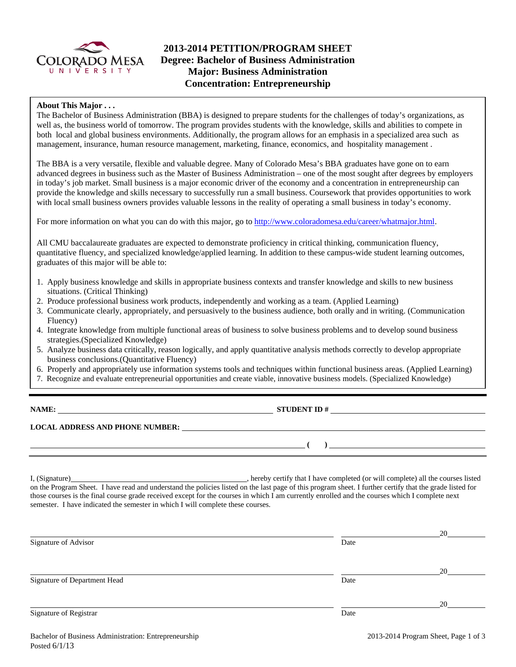

# **2013-2014 PETITION/PROGRAM SHEET Degree: Bachelor of Business Administration Major: Business Administration Concentration: Entrepreneurship**

### **About This Major . . .**

The Bachelor of Business Administration (BBA) is designed to prepare students for the challenges of today's organizations, as well as, the business world of tomorrow. The program provides students with the knowledge, skills and abilities to compete in both local and global business environments. Additionally, the program allows for an emphasis in a specialized area such as management, insurance, human resource management, marketing, finance, economics, and hospitality management .

The BBA is a very versatile, flexible and valuable degree. Many of Colorado Mesa's BBA graduates have gone on to earn advanced degrees in business such as the Master of Business Administration – one of the most sought after degrees by employers in today's job market. Small business is a major economic driver of the economy and a concentration in entrepreneurship can provide the knowledge and skills necessary to successfully run a small business. Coursework that provides opportunities to work with local small business owners provides valuable lessons in the reality of operating a small business in today's economy.

For more information on what you can do with this major, go to http://www.coloradomesa.edu/career/whatmajor.html.

All CMU baccalaureate graduates are expected to demonstrate proficiency in critical thinking, communication fluency, quantitative fluency, and specialized knowledge/applied learning. In addition to these campus-wide student learning outcomes, graduates of this major will be able to:

- 1. Apply business knowledge and skills in appropriate business contexts and transfer knowledge and skills to new business situations. (Critical Thinking)
- 2. Produce professional business work products, independently and working as a team. (Applied Learning)
- 3. Communicate clearly, appropriately, and persuasively to the business audience, both orally and in writing. (Communication Fluency)
- 4. Integrate knowledge from multiple functional areas of business to solve business problems and to develop sound business strategies.(Specialized Knowledge)
- 5. Analyze business data critically, reason logically, and apply quantitative analysis methods correctly to develop appropriate business conclusions.(Quantitative Fluency)
- 6. Properly and appropriately use information systems tools and techniques within functional business areas. (Applied Learning)
- 7. Recognize and evaluate entrepreneurial opportunities and create viable, innovative business models. (Specialized Knowledge)

**NAME: STUDENT ID #**

**LOCAL ADDRESS AND PHONE NUMBER:**

I, (Signature) , hereby certify that I have completed (or will complete) all the courses listed on the Program Sheet. I have read and understand the policies listed on the last page of this program sheet. I further certify that the grade listed for those courses is the final course grade received except for the courses in which I am currently enrolled and the courses which I complete next semester. I have indicated the semester in which I will complete these courses.

|                              |      | 20 |
|------------------------------|------|----|
| Signature of Advisor         | Date |    |
|                              |      |    |
|                              |      | 20 |
| Signature of Department Head | Date |    |
|                              |      |    |
|                              |      | 20 |
| Signature of Registrar       | Date |    |
|                              |      |    |

 **( )**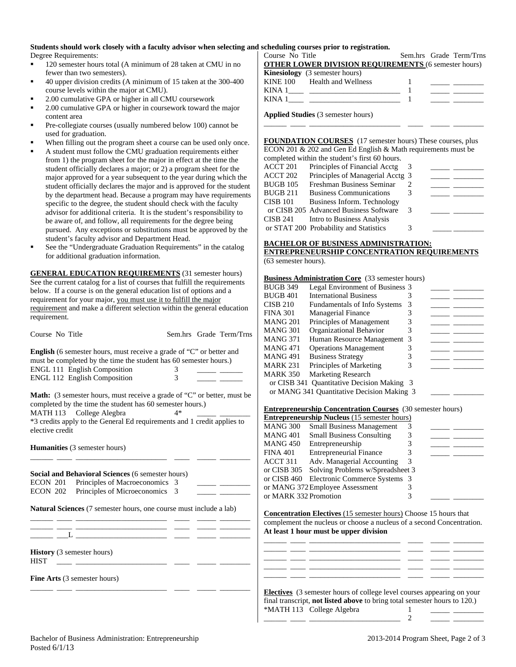## **Students should work closely with a faculty advisor when selecting and scheduling courses prior to registration.**

Degree Requirements:

- <sup>120</sup> semester hours total (A minimum of 28 taken at CMU in no fewer than two semesters).
- 40 upper division credits (A minimum of 15 taken at the 300-400 course levels within the major at CMU).
- 2.00 cumulative GPA or higher in all CMU coursework
- 2.00 cumulative GPA or higher in coursework toward the major content area
- Pre-collegiate courses (usually numbered below 100) cannot be used for graduation.
- When filling out the program sheet a course can be used only once.
- A student must follow the CMU graduation requirements either from 1) the program sheet for the major in effect at the time the student officially declares a major; or 2) a program sheet for the major approved for a year subsequent to the year during which the student officially declares the major and is approved for the student by the department head. Because a program may have requirements specific to the degree, the student should check with the faculty advisor for additional criteria. It is the student's responsibility to be aware of, and follow, all requirements for the degree being pursued. Any exceptions or substitutions must be approved by the student's faculty advisor and Department Head.
- See the "Undergraduate Graduation Requirements" in the catalog for additional graduation information.

**GENERAL EDUCATION REQUIREMENTS** (31 semester hours) See the current catalog for a list of courses that fulfill the requirements below. If a course is on the general education list of options and a requirement for your major, you must use it to fulfill the major requirement and make a different selection within the general education requirement.

Course No Title Sem.hrs Grade Term/Trns

|   | <b>English</b> (6 semester hours, must receive a grade of "C" or better and |
|---|-----------------------------------------------------------------------------|
|   | must be completed by the time the student has 60 semester hours.)           |
|   |                                                                             |
| 3 |                                                                             |
|   |                                                                             |

**Math:** (3 semester hours, must receive a grade of "C" or better, must be completed by the time the student has 60 semester hours.)<br>MATH 113 College Alegbra  $4*$ 

MATH 113 College Alegbra

\*3 credits apply to the General Ed requirements and 1 credit applies to elective credit

\_\_\_\_\_\_ \_\_\_\_ \_\_\_\_\_\_\_\_\_\_\_\_\_\_\_\_\_\_\_\_\_\_\_\_ \_\_\_\_ \_\_\_\_\_ \_\_\_\_\_\_\_\_

**Humanities** (3 semester hours)

|                                                  | <b>Social and Behavioral Sciences</b> (6 semester hours)                  |  |  |
|--------------------------------------------------|---------------------------------------------------------------------------|--|--|
|                                                  | ECON 201 Principles of Macroeconomics 3                                   |  |  |
|                                                  | ECON 202 Principles of Microeconomics 3                                   |  |  |
|                                                  | <b>Natural Sciences</b> (7 semester hours, one course must include a lab) |  |  |
| <b>History</b> (3 semester hours)<br><b>HIST</b> |                                                                           |  |  |
|                                                  | <b>Fine Arts</b> (3 semester hours)                                       |  |  |

\_\_\_\_\_\_ \_\_\_\_ \_\_\_\_\_\_\_\_\_\_\_\_\_\_\_\_\_\_\_\_\_\_\_\_ \_\_\_\_ \_\_\_\_\_ \_\_\_\_\_\_\_\_

Course No Title Sem.hrs Grade Term/Trns **OTHER LOWER DIVISION REQUIREMENTS** (6 semester hours) **Kinesiology** (3 semester hours) KINE 100 Health and Wellness 1 KINA 1\_\_\_\_ \_\_\_\_\_\_\_\_\_\_\_\_\_\_\_\_\_\_\_\_\_\_\_\_ 1 \_\_\_\_\_ \_\_\_\_\_\_\_\_ KINA  $1 \qquad \qquad$   $\qquad \qquad$   $\qquad \qquad$   $\qquad \qquad$   $\qquad \qquad$   $\qquad \qquad$   $\qquad \qquad$   $\qquad \qquad$   $\qquad \qquad$   $\qquad \qquad$   $\qquad \qquad$   $\qquad \qquad$   $\qquad \qquad$   $\qquad \qquad$   $\qquad \qquad$   $\qquad \qquad$   $\qquad \qquad$   $\qquad \qquad$   $\qquad \qquad$   $\qquad \qquad$   $\qquad \qquad$   $\qquad \qquad$   $\qquad \qquad$   $\qquad \qquad$ 

**Applied Studies** (3 semester hours)

**FOUNDATION COURSES** (17 semester hours) These courses, plus ECON 201 & 202 and Gen Ed English & Math requirements must be

\_\_\_\_\_\_ \_\_\_\_ \_\_\_\_\_\_\_\_\_\_\_\_\_\_\_\_\_\_\_\_\_\_\_\_ \_\_\_\_ \_\_\_\_\_ \_\_\_\_\_\_\_\_

|          | completed within the student's first 60 hours. |   |  |
|----------|------------------------------------------------|---|--|
| ACCT 201 | Principles of Financial Acctg                  |   |  |
| ACCT 202 | Principles of Managerial Acctg 3               |   |  |
| BUGB 105 | Freshman Business Seminar                      |   |  |
| BUGB 211 | <b>Business Communications</b>                 |   |  |
| CISB 101 | Business Inform. Technology                    |   |  |
|          | or CISB 205 Advanced Business Software         | 3 |  |
| CISB 241 | Intro to Business Analysis                     |   |  |
|          | or STAT 200 Probability and Statistics         |   |  |

### **BACHELOR OF BUSINESS ADMINISTRATION:**

#### **ENTREPRENEURSHIP CONCENTRATION REQUIREMENTS** (63 semester hours).

#### **Business Administration Core** (33 semester hours)

| BUGB 349 | Legal Environment of Business 3            |  |  |
|----------|--------------------------------------------|--|--|
| BUGB 401 | <b>International Business</b>              |  |  |
| CISB 210 | Fundamentals of Info Systems               |  |  |
| FINA 301 | <b>Managerial Finance</b>                  |  |  |
| MANG 201 | Principles of Management                   |  |  |
| MANG 301 | Organizational Behavior                    |  |  |
| MANG 371 | Human Resource Management 3                |  |  |
| MANG 471 | <b>Operations Management</b>               |  |  |
| MANG 491 | <b>Business Strategy</b>                   |  |  |
| MARK 231 | Principles of Marketing                    |  |  |
| MARK 350 | <b>Marketing Research</b>                  |  |  |
|          | or CISB 341 Quantitative Decision Making 3 |  |  |
|          | or MANG 341 Quantitative Decision Making 3 |  |  |
|          |                                            |  |  |

#### **Entrepreneurship Concentration Courses** (30 semester hours)

| <b>Entrepreneurship Nucleus</b> (15 semester hours) |                                           |   |  |  |
|-----------------------------------------------------|-------------------------------------------|---|--|--|
| <b>MANG 300</b>                                     | <b>Small Business Management</b>          |   |  |  |
| <b>MANG 401</b>                                     | <b>Small Business Consulting</b>          | 3 |  |  |
| <b>MANG 450</b>                                     | Entrepreneurship                          |   |  |  |
| <b>FINA 401</b>                                     | <b>Entrepreneurial Finance</b>            | 3 |  |  |
| ACCT 311                                            | Adv. Managerial Accounting                | 3 |  |  |
| or CISB 305                                         | Solving Problems w/Spreadsheet 3          |   |  |  |
|                                                     | or CISB 460 Electronic Commerce Systems 3 |   |  |  |
|                                                     | or MANG 372 Employee Assessment           |   |  |  |
| or MARK 332 Promotion                               |                                           | 3 |  |  |

**Concentration Electives** (15 semester hours) Choose 15 hours that complement the nucleus or choose a nucleus of a second Concentration. **At least 1 hour must be upper division**

\_\_\_\_\_\_ \_\_\_\_ \_\_\_\_\_\_\_\_\_\_\_\_\_\_\_\_\_\_\_\_\_\_\_\_ \_\_\_\_ \_\_\_\_\_ \_\_\_\_\_\_\_\_ \_\_\_\_\_\_ \_\_\_\_ \_\_\_\_\_\_\_\_\_\_\_\_\_\_\_\_\_\_\_\_\_\_\_\_ \_\_\_\_ \_\_\_\_\_ \_\_\_\_\_\_\_\_ \_\_\_\_\_\_ \_\_\_\_ \_\_\_\_\_\_\_\_\_\_\_\_\_\_\_\_\_\_\_\_\_\_\_\_ \_\_\_\_ \_\_\_\_\_ \_\_\_\_\_\_\_\_ \_\_\_\_\_\_ \_\_\_\_ \_\_\_\_\_\_\_\_\_\_\_\_\_\_\_\_\_\_\_\_\_\_\_\_ \_\_\_\_ \_\_\_\_\_ \_\_\_\_\_\_\_\_ \_\_\_\_\_\_ \_\_\_\_ \_\_\_\_\_\_\_\_\_\_\_\_\_\_\_\_\_\_\_\_\_\_\_\_ \_\_\_\_ \_\_\_\_\_ \_\_\_\_\_\_\_\_

| <b>Electives</b> (3 semester hours of college level courses appearing on your    |  |
|----------------------------------------------------------------------------------|--|
| final transcript, <b>not listed above</b> to bring total semester hours to 120.) |  |
| *MATH 113 College Algebra                                                        |  |
|                                                                                  |  |